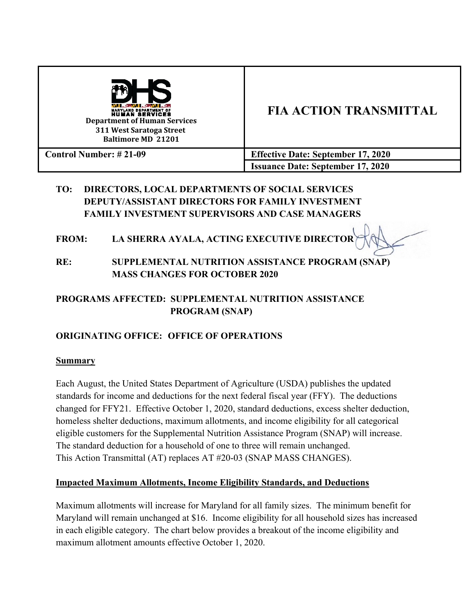

### **TO: DIRECTORS, LOCAL DEPARTMENTS OF SOCIAL SERVICES DEPUTY/ASSISTANT DIRECTORS FOR FAMILY INVESTMENT FAMILY INVESTMENT SUPERVISORS AND CASE MANAGERS**

### **FROM: LA SHERRA AYALA, ACTING EXECUTIVE DIRECTOR**

**RE: SUPPLEMENTAL NUTRITION ASSISTANCE PROGRAM (SNAP) MASS CHANGES FOR OCTOBER 2020**

## **PROGRAMS AFFECTED: SUPPLEMENTAL NUTRITION ASSISTANCE PROGRAM (SNAP)**

## **ORIGINATING OFFICE: OFFICE OF OPERATIONS**

### **Summary**

Each August, the United States Department of Agriculture (USDA) publishes the updated standards for income and deductions for the next federal fiscal year (FFY). The deductions changed for FFY21. Effective October 1, 2020, standard deductions, excess shelter deduction, homeless shelter deductions, maximum allotments, and income eligibility for all categorical eligible customers for the Supplemental Nutrition Assistance Program (SNAP) will increase. The standard deduction for a household of one to three will remain unchanged. This Action Transmittal (AT) replaces AT #20-03 (SNAP MASS CHANGES).

### **Impacted Maximum Allotments, Income Eligibility Standards, and Deductions**

Maximum allotments will increase for Maryland for all family sizes. The minimum benefit for Maryland will remain unchanged at \$16. Income eligibility for all household sizes has increased in each eligible category. The chart below provides a breakout of the income eligibility and maximum allotment amounts effective October 1, 2020.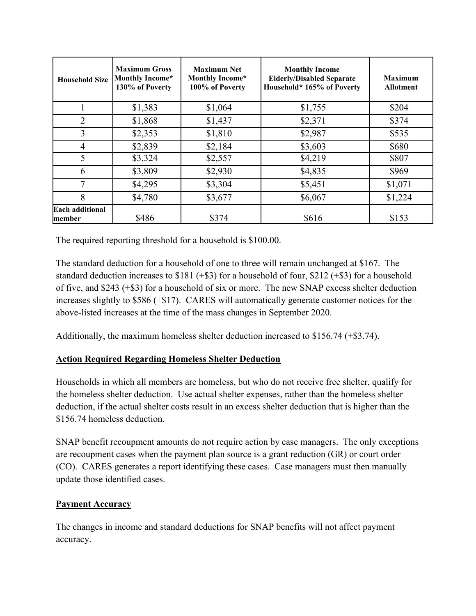| <b>Household Size</b>             | <b>Maximum Gross</b><br><b>Monthly Income*</b><br>130% of Poverty | <b>Maximum Net</b><br><b>Monthly Income*</b><br>100% of Poverty | <b>Monthly Income</b><br><b>Elderly/Disabled Separate</b><br>Household* 165% of Poverty | <b>Maximum</b><br><b>Allotment</b> |
|-----------------------------------|-------------------------------------------------------------------|-----------------------------------------------------------------|-----------------------------------------------------------------------------------------|------------------------------------|
|                                   | \$1,383                                                           | \$1,064                                                         | \$1,755                                                                                 | \$204                              |
| $\overline{2}$                    | \$1,868                                                           | \$1,437                                                         | \$2,371                                                                                 | \$374                              |
| 3                                 | \$2,353                                                           | \$1,810                                                         | \$2,987                                                                                 | \$535                              |
| 4                                 | \$2,839                                                           | \$2,184                                                         | \$3,603                                                                                 | \$680                              |
| 5                                 | \$3,324                                                           | \$2,557                                                         | \$4,219                                                                                 | \$807                              |
| 6                                 | \$3,809                                                           | \$2,930                                                         | \$4,835                                                                                 | \$969                              |
| 7                                 | \$4,295                                                           | \$3,304                                                         | \$5,451                                                                                 | \$1,071                            |
| 8                                 | \$4,780                                                           | \$3,677                                                         | \$6,067                                                                                 | \$1,224                            |
| <b>Each additional</b><br>lmember | \$486                                                             | \$374                                                           | \$616                                                                                   | \$153                              |

The required reporting threshold for a household is \$100.00.

The standard deduction for a household of one to three will remain unchanged at \$167. The standard deduction increases to  $$181 (+\$3)$  for a household of four,  $$212 (+\$3)$  for a household of five, and \$243 (+\$3) for a household of six or more. The new SNAP excess shelter deduction increases slightly to \$586 (+\$17). CARES will automatically generate customer notices for the above-listed increases at the time of the mass changes in September 2020.

Additionally, the maximum homeless shelter deduction increased to \$156.74 (+\$3.74).

### **Action Required Regarding Homeless Shelter Deduction**

Households in which all members are homeless, but who do not receive free shelter, qualify for the homeless shelter deduction. Use actual shelter expenses, rather than the homeless shelter deduction, if the actual shelter costs result in an excess shelter deduction that is higher than the \$156.74 homeless deduction.

SNAP benefit recoupment amounts do not require action by case managers. The only exceptions are recoupment cases when the payment plan source is a grant reduction (GR) or court order (CO). CARES generates a report identifying these cases. Case managers must then manually update those identified cases.

### **Payment Accuracy**

The changes in income and standard deductions for SNAP benefits will not affect payment accuracy.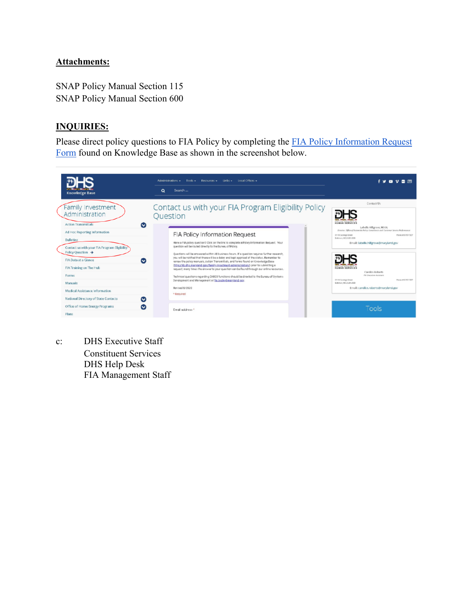### **Attachments:**

SNAP Policy Manual Section 115 SNAP Policy Manual Section 600

### **INQUIRIES:**

Please direct policy questions to FIA Policy by completing the [FIA Policy Information Request](https://kb.dhs.maryland.gov/family-investment-administration/contact-us-with-your-fia-program-eligibility-policy-question/)  [Form](https://kb.dhs.maryland.gov/family-investment-administration/contact-us-with-your-fia-program-eligibility-policy-question/) found on Knowledge Base as shown in the screenshot below.



c: DHS Executive Staff Constituent Services DHS Help Desk FIA Management Staff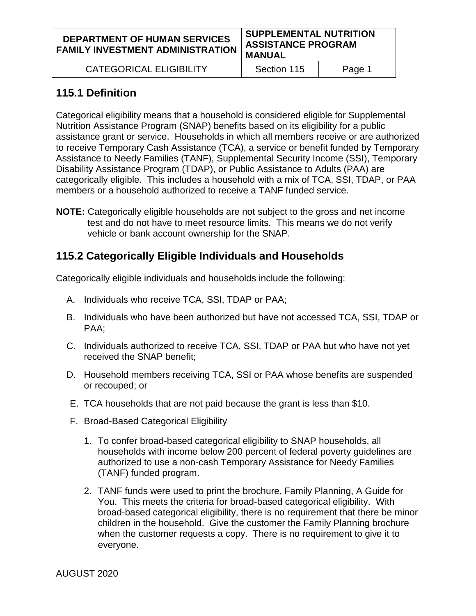| <b>DEPARTMENT OF HUMAN SERVICES</b><br>FAMILY INVESTMENT ADMINISTRATION | <b>SUPPLEMENTAL NUTRITION</b><br><b>ASSISTANCE PROGRAM</b><br><b>MANUAL</b> |
|-------------------------------------------------------------------------|-----------------------------------------------------------------------------|
|                                                                         |                                                                             |

CATEGORICAL ELIGIBILITY | Section 115 | Page 1

# **115.1 Definition**

Categorical eligibility means that a household is considered eligible for Supplemental Nutrition Assistance Program (SNAP) benefits based on its eligibility for a public assistance grant or service. Households in which all members receive or are authorized to receive Temporary Cash Assistance (TCA), a service or benefit funded by Temporary Assistance to Needy Families (TANF), Supplemental Security Income (SSI), Temporary Disability Assistance Program (TDAP), or Public Assistance to Adults (PAA) are categorically eligible. This includes a household with a mix of TCA, SSI, TDAP, or PAA members or a household authorized to receive a TANF funded service.

**NOTE:** Categorically eligible households are not subject to the gross and net income test and do not have to meet resource limits. This means we do not verify vehicle or bank account ownership for the SNAP.

# **115.2 Categorically Eligible Individuals and Households**

Categorically eligible individuals and households include the following:

- A. Individuals who receive TCA, SSI, TDAP or PAA;
- B. Individuals who have been authorized but have not accessed TCA, SSI, TDAP or PAA;
- C. Individuals authorized to receive TCA, SSI, TDAP or PAA but who have not yet received the SNAP benefit;
- D. Household members receiving TCA, SSI or PAA whose benefits are suspended or recouped; or
- E. TCA households that are not paid because the grant is less than \$10.
- F. Broad-Based Categorical Eligibility
	- 1. To confer broad-based categorical eligibility to SNAP households, all households with income below 200 percent of federal poverty guidelines are authorized to use a non-cash Temporary Assistance for Needy Families (TANF) funded program.
	- 2. TANF funds were used to print the brochure, Family Planning, A Guide for You. This meets the criteria for broad-based categorical eligibility. With broad-based categorical eligibility, there is no requirement that there be minor children in the household. Give the customer the Family Planning brochure when the customer requests a copy. There is no requirement to give it to everyone.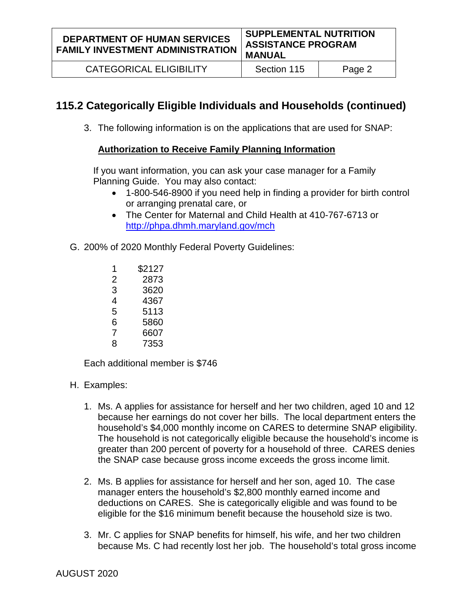**DEPARTMENT OF HUMAN SERVICES FAMILY INVESTMENT ADMINISTRATION**

CATEGORICAL ELIGIBILITY | Section 115 | Page 2

# **115.2 Categorically Eligible Individuals and Households (continued)**

3. The following information is on the applications that are used for SNAP:

### **Authorization to Receive Family Planning Information**

If you want information, you can ask your case manager for a Family Planning Guide. You may also contact:

- 1-800-546-8900 if you need help in finding a provider for birth control or arranging prenatal care, or
- The Center for Maternal and Child Health at 410-767-6713 or <http://phpa.dhmh.maryland.gov/mch>
- G. 200% of 2020 Monthly Federal Poverty Guidelines:
	- 1 \$2127
	- 2 2873
	- 3 3620
	- 4 4367
	- 5 5113
	- 6 5860
	- 7 6607
	- 8 7353

Each additional member is \$746

- H. Examples:
	- 1. Ms. A applies for assistance for herself and her two children, aged 10 and 12 because her earnings do not cover her bills. The local department enters the household's \$4,000 monthly income on CARES to determine SNAP eligibility. The household is not categorically eligible because the household's income is greater than 200 percent of poverty for a household of three. CARES denies the SNAP case because gross income exceeds the gross income limit.
	- 2. Ms. B applies for assistance for herself and her son, aged 10. The case manager enters the household's \$2,800 monthly earned income and deductions on CARES. She is categorically eligible and was found to be eligible for the \$16 minimum benefit because the household size is two.
	- 3. Mr. C applies for SNAP benefits for himself, his wife, and her two children because Ms. C had recently lost her job. The household's total gross income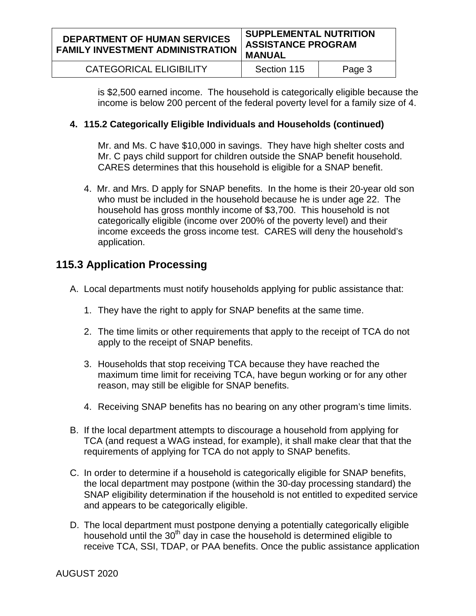#### **DEPARTMENT OF HUMAN SERVICES FAMILY INVESTMENT ADMINISTRATION SUPPLEMENTAL NUTRITION ASSISTANCE PROGRAM MANUAL** CATEGORICAL ELIGIBILITY | Section 115 | Page 3

is \$2,500 earned income. The household is categorically eligible because the

income is below 200 percent of the federal poverty level for a family size of 4.

## **4. 115.2 Categorically Eligible Individuals and Households (continued)**

Mr. and Ms. C have \$10,000 in savings. They have high shelter costs and Mr. C pays child support for children outside the SNAP benefit household. CARES determines that this household is eligible for a SNAP benefit.

4. Mr. and Mrs. D apply for SNAP benefits. In the home is their 20-year old son who must be included in the household because he is under age 22. The household has gross monthly income of \$3,700. This household is not categorically eligible (income over 200% of the poverty level) and their income exceeds the gross income test. CARES will deny the household's application.

# **115.3 Application Processing**

- A. Local departments must notify households applying for public assistance that:
	- 1. They have the right to apply for SNAP benefits at the same time.
	- 2. The time limits or other requirements that apply to the receipt of TCA do not apply to the receipt of SNAP benefits.
	- 3. Households that stop receiving TCA because they have reached the maximum time limit for receiving TCA, have begun working or for any other reason, may still be eligible for SNAP benefits.
	- 4. Receiving SNAP benefits has no bearing on any other program's time limits.
- B. If the local department attempts to discourage a household from applying for TCA (and request a WAG instead, for example), it shall make clear that that the requirements of applying for TCA do not apply to SNAP benefits.
- C. In order to determine if a household is categorically eligible for SNAP benefits, the local department may postpone (within the 30-day processing standard) the SNAP eligibility determination if the household is not entitled to expedited service and appears to be categorically eligible.
- D. The local department must postpone denying a potentially categorically eligible household until the  $30<sup>th</sup>$  day in case the household is determined eligible to receive TCA, SSI, TDAP, or PAA benefits. Once the public assistance application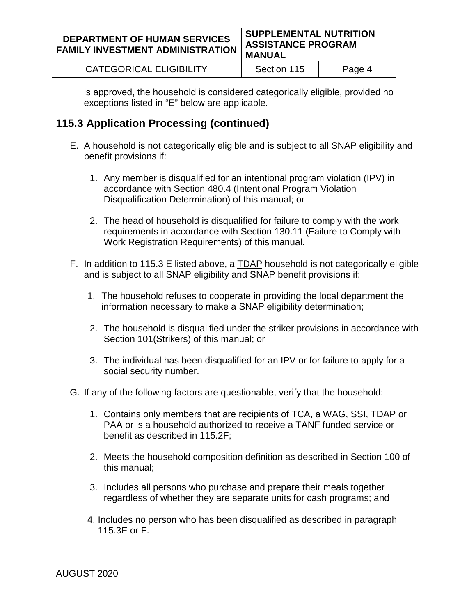#### **DEPARTMENT OF HUMAN SERVICES FAMILY INVESTMENT ADMINISTRATION SUPPLEMENTAL NUTRITION ASSISTANCE PROGRAM MANUAL**

CATEGORICAL ELIGIBILITY | Section 115 | Page 4

is approved, the household is considered categorically eligible, provided no exceptions listed in "E" below are applicable.

## **115.3 Application Processing (continued)**

- E. A household is not categorically eligible and is subject to all SNAP eligibility and benefit provisions if:
	- 1. Any member is disqualified for an intentional program violation (IPV) in accordance with Section 480.4 (Intentional Program Violation Disqualification Determination) of this manual; or
	- 2. The head of household is disqualified for failure to comply with the work requirements in accordance with Section 130.11 (Failure to Comply with Work Registration Requirements) of this manual.
- F. In addition to 115.3 E listed above, a TDAP household is not categorically eligible and is subject to all SNAP eligibility and SNAP benefit provisions if:
	- 1. The household refuses to cooperate in providing the local department the information necessary to make a SNAP eligibility determination;
	- 2. The household is disqualified under the striker provisions in accordance with Section 101(Strikers) of this manual; or
	- 3. The individual has been disqualified for an IPV or for failure to apply for a social security number.
- G. If any of the following factors are questionable, verify that the household:
	- 1. Contains only members that are recipients of TCA, a WAG, SSI, TDAP or PAA or is a household authorized to receive a TANF funded service or benefit as described in 115.2F;
	- 2. Meets the household composition definition as described in Section 100 of this manual;
	- 3. Includes all persons who purchase and prepare their meals together regardless of whether they are separate units for cash programs; and
	- 4. Includes no person who has been disqualified as described in paragraph 115.3E or F.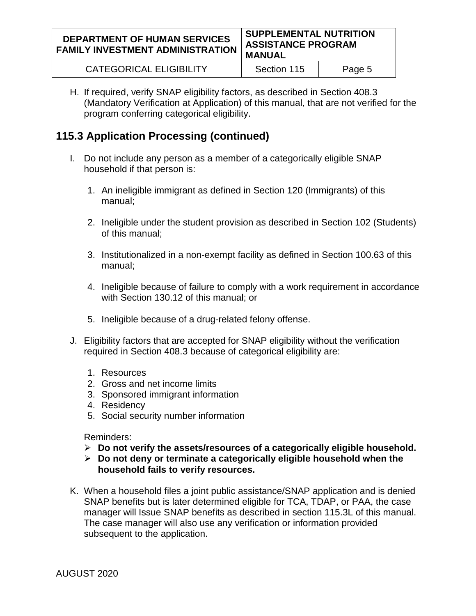#### **DEPARTMENT OF HUMAN SERVICES FAMILY INVESTMENT ADMINISTRATION SUPPLEMENTAL NUTRITION ASSISTANCE PROGRAM MANUAL**

|                         | .           |        |
|-------------------------|-------------|--------|
| CATEGORICAL ELIGIBILITY | Section 115 | Page 5 |

H. If required, verify SNAP eligibility factors, as described in Section 408.3 (Mandatory Verification at Application) of this manual, that are not verified for the program conferring categorical eligibility.

## **115.3 Application Processing (continued)**

- I. Do not include any person as a member of a categorically eligible SNAP household if that person is:
	- 1. An ineligible immigrant as defined in Section 120 (Immigrants) of this manual;
	- 2. Ineligible under the student provision as described in Section 102 (Students) of this manual;
	- 3. Institutionalized in a non-exempt facility as defined in Section 100.63 of this manual;
	- 4. Ineligible because of failure to comply with a work requirement in accordance with Section 130.12 of this manual; or
	- 5. Ineligible because of a drug-related felony offense.
- J. Eligibility factors that are accepted for SNAP eligibility without the verification required in Section 408.3 because of categorical eligibility are:
	- 1. Resources
	- 2. Gross and net income limits
	- 3. Sponsored immigrant information
	- 4. Residency
	- 5. Social security number information

Reminders:

- **Do not verify the assets/resources of a categorically eligible household.**
- **Do not deny or terminate a categorically eligible household when the household fails to verify resources.**
- K. When a household files a joint public assistance/SNAP application and is denied SNAP benefits but is later determined eligible for TCA, TDAP, or PAA, the case manager will Issue SNAP benefits as described in section 115.3L of this manual. The case manager will also use any verification or information provided subsequent to the application.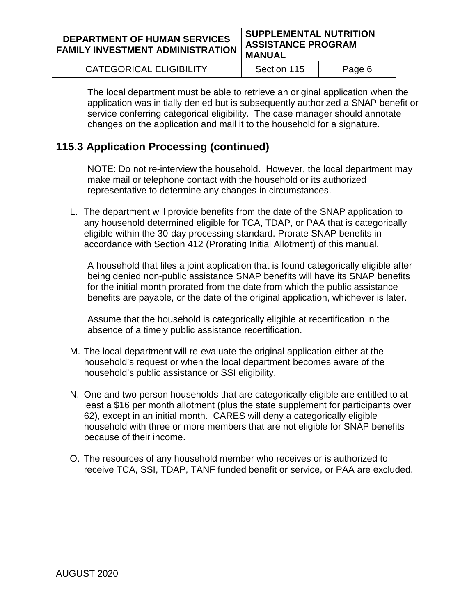#### **DEPARTMENT OF HUMAN SERVICES FAMILY INVESTMENT ADMINISTRATION SUPPLEMENTAL NUTRITION ASSISTANCE PROGRAM MANUAL**

| <b>CATEGORICAL ELIGIBILITY</b> | Section 115 | Page 6 |
|--------------------------------|-------------|--------|
|--------------------------------|-------------|--------|

The local department must be able to retrieve an original application when the application was initially denied but is subsequently authorized a SNAP benefit or service conferring categorical eligibility. The case manager should annotate changes on the application and mail it to the household for a signature.

## **115.3 Application Processing (continued)**

NOTE: Do not re-interview the household. However, the local department may make mail or telephone contact with the household or its authorized representative to determine any changes in circumstances.

L. The department will provide benefits from the date of the SNAP application to any household determined eligible for TCA, TDAP, or PAA that is categorically eligible within the 30-day processing standard. Prorate SNAP benefits in accordance with Section 412 (Prorating Initial Allotment) of this manual.

A household that files a joint application that is found categorically eligible after being denied non-public assistance SNAP benefits will have its SNAP benefits for the initial month prorated from the date from which the public assistance benefits are payable, or the date of the original application, whichever is later.

Assume that the household is categorically eligible at recertification in the absence of a timely public assistance recertification.

- M. The local department will re-evaluate the original application either at the household's request or when the local department becomes aware of the household's public assistance or SSI eligibility.
- N. One and two person households that are categorically eligible are entitled to at least a \$16 per month allotment (plus the state supplement for participants over 62), except in an initial month. CARES will deny a categorically eligible household with three or more members that are not eligible for SNAP benefits because of their income.
- O. The resources of any household member who receives or is authorized to receive TCA, SSI, TDAP, TANF funded benefit or service, or PAA are excluded.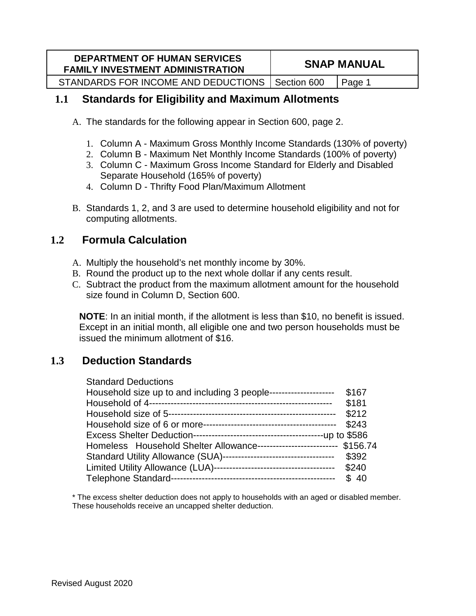| <b>DEPARTMENT OF HUMAN SERVICES</b><br><b>FAMILY INVESTMENT ADMINISTRATION</b> | <b>SNAP MANUAL</b> |       |
|--------------------------------------------------------------------------------|--------------------|-------|
| STANDARDS FOR INCOME AND DEDUCTIONS   Section 600                              |                    | Page: |

## **1.1 Standards for Eligibility and Maximum Allotments**

- A. The standards for the following appear in Section 600, page 2.
	- 1. Column A Maximum Gross Monthly Income Standards (130% of poverty)
	- 2. Column B Maximum Net Monthly Income Standards (100% of poverty)
	- 3. Column C Maximum Gross Income Standard for Elderly and Disabled Separate Household (165% of poverty)
	- 4. Column D Thrifty Food Plan/Maximum Allotment
- B. Standards 1, 2, and 3 are used to determine household eligibility and not for computing allotments.

## **1.2 Formula Calculation**

- A. Multiply the household's net monthly income by 30%.
- B. Round the product up to the next whole dollar if any cents result.
- C. Subtract the product from the maximum allotment amount for the household size found in Column D, Section 600.

**NOTE**: In an initial month, if the allotment is less than \$10, no benefit is issued. Except in an initial month, all eligible one and two person households must be issued the minimum allotment of \$16.

## **1.3 Deduction Standards**

| <b>Standard Deductions</b>                                              |       |
|-------------------------------------------------------------------------|-------|
| Household size up to and including 3 people---------------------        | \$167 |
|                                                                         | \$181 |
|                                                                         | \$212 |
|                                                                         | \$243 |
|                                                                         |       |
| Homeless Household Shelter Allowance-------------------------- \$156.74 |       |
| Standard Utility Allowance (SUA)-----------------------------------     | \$392 |
|                                                                         | \$240 |
|                                                                         | \$40  |

\* The excess shelter deduction does not apply to households with an aged or disabled member. These households receive an uncapped shelter deduction.